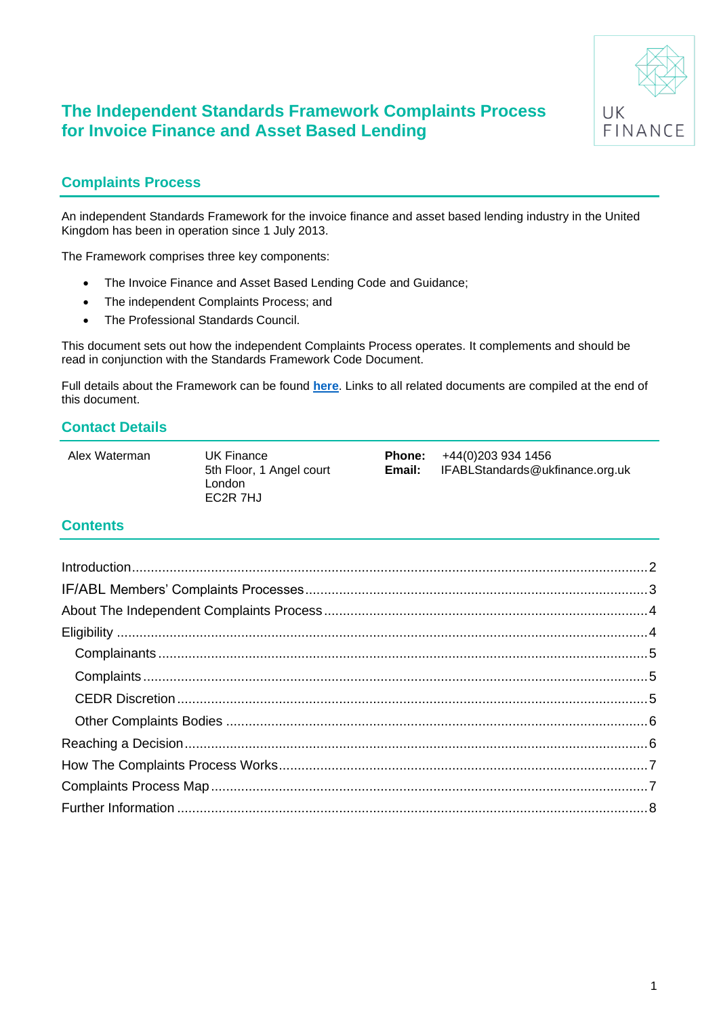

## **Complaints Process**

An independent Standards Framework for the invoice finance and asset based lending industry in the United Kingdom has been in operation since 1 July 2013.

The Framework comprises three key components:

- The Invoice Finance and Asset Based Lending Code and Guidance;
- The independent Complaints Process; and
- The Professional Standards Council.

This document sets out how the independent Complaints Process operates. It complements and should be read in conjunction with the Standards Framework Code Document.

Full details about the Framework can be found **[here](https://www.ukfinance.org.uk/policy-and-guidance/guidance/invoice-finance-and-asset-based-lending-ifabl-standards-framework)**. Links to all related documents are compiled at the end of this document.

### **Contact Details**

Alex Waterman UK Finance

5th Floor, 1 Angel court London EC2R 7HJ

**Phone:** +44(0)203 934 1456<br>**Email:** IFABLStandards@uk **Email:** IFABLStandards@ukfinance.org.uk

### **Contents**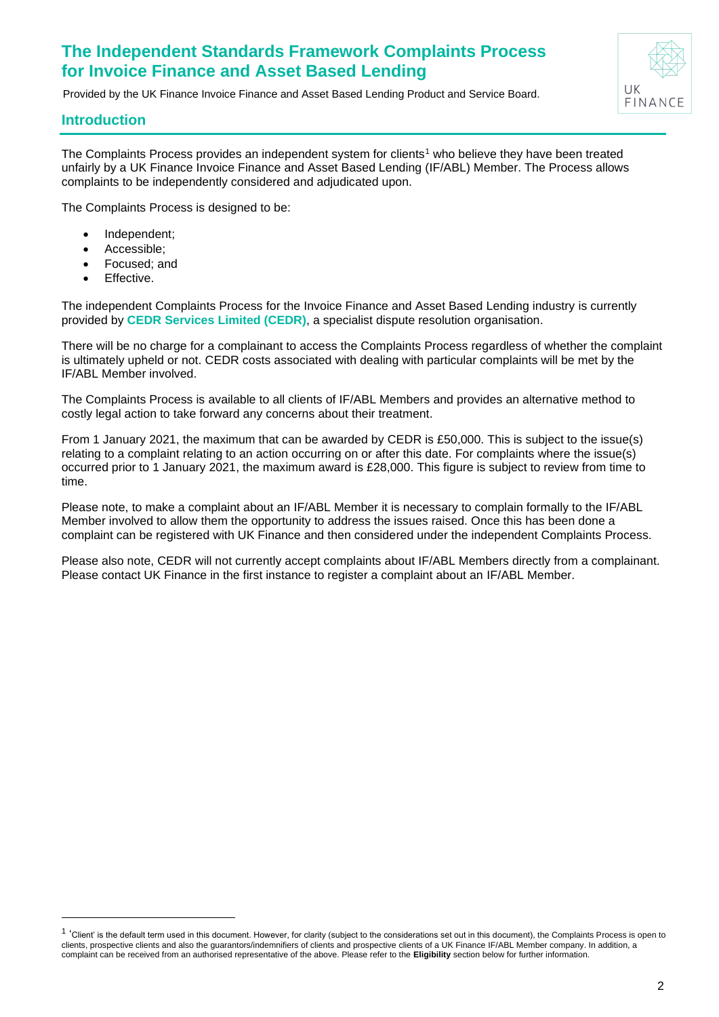Provided by the UK Finance Invoice Finance and Asset Based Lending Product and Service Board.



### <span id="page-1-0"></span>**Introduction**

The Complaints Process provides an independent system for clients<sup>1</sup> who believe they have been treated unfairly by a UK Finance Invoice Finance and Asset Based Lending (IF/ABL) Member. The Process allows complaints to be independently considered and adjudicated upon.

The Complaints Process is designed to be:

- Independent;
- Accessible;
- Focused; and
- Effective.

The independent Complaints Process for the Invoice Finance and Asset Based Lending industry is currently provided by **CEDR Services Limited (CEDR)**, a specialist dispute resolution organisation.

There will be no charge for a complainant to access the Complaints Process regardless of whether the complaint is ultimately upheld or not. CEDR costs associated with dealing with particular complaints will be met by the IF/ABL Member involved.

The Complaints Process is available to all clients of IF/ABL Members and provides an alternative method to costly legal action to take forward any concerns about their treatment.

From 1 January 2021, the maximum that can be awarded by CEDR is £50,000. This is subject to the issue(s) relating to a complaint relating to an action occurring on or after this date. For complaints where the issue(s) occurred prior to 1 January 2021, the maximum award is £28,000. This figure is subject to review from time to time.

Please note, to make a complaint about an IF/ABL Member it is necessary to complain formally to the IF/ABL Member involved to allow them the opportunity to address the issues raised. Once this has been done a complaint can be registered with UK Finance and then considered under the independent Complaints Process.

<span id="page-1-1"></span>Please also note, CEDR will not currently accept complaints about IF/ABL Members directly from a complainant. Please contact UK Finance in the first instance to register a complaint about an IF/ABL Member.

<sup>&</sup>lt;sup>1</sup> 'Client' is the default term used in this document. However, for clarity (subject to the considerations set out in this document), the Complaints Process is open to clients, prospective clients and also the guarantors/indemnifiers of clients and prospective clients of a UK Finance IF/ABL Member company. In addition, a complaint can be received from an authorised representative of the above. Please refer to the **Eligibility** section below for further information.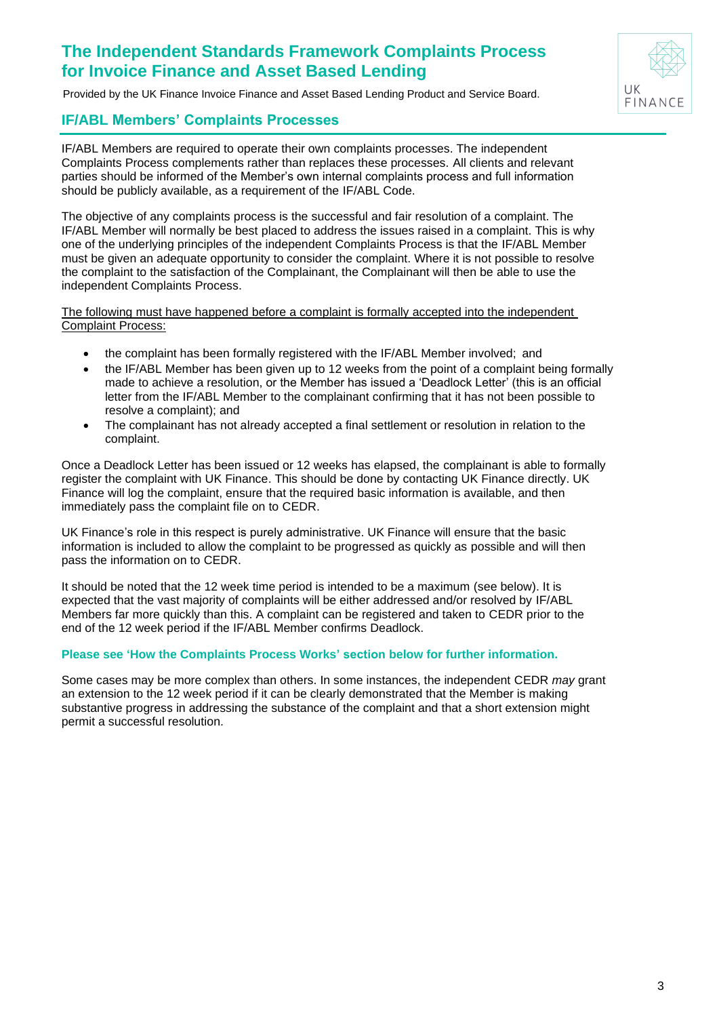Provided by the UK Finance Invoice Finance and Asset Based Lending Product and Service Board.

## **IF/ABL Members' Complaints Processes**

IF/ABL Members are required to operate their own complaints processes. The independent Complaints Process complements rather than replaces these processes. All clients and relevant parties should be informed of the Member's own internal complaints process and full information should be publicly available, as a requirement of the IF/ABL Code.

The objective of any complaints process is the successful and fair resolution of a complaint. The IF/ABL Member will normally be best placed to address the issues raised in a complaint. This is why one of the underlying principles of the independent Complaints Process is that the IF/ABL Member must be given an adequate opportunity to consider the complaint. Where it is not possible to resolve the complaint to the satisfaction of the Complainant, the Complainant will then be able to use the independent Complaints Process.

The following must have happened before a complaint is formally accepted into the independent Complaint Process:

- the complaint has been formally registered with the IF/ABL Member involved; and
- the IF/ABL Member has been given up to 12 weeks from the point of a complaint being formally made to achieve a resolution, or the Member has issued a 'Deadlock Letter' (this is an official letter from the IF/ABL Member to the complainant confirming that it has not been possible to resolve a complaint); and
- The complainant has not already accepted a final settlement or resolution in relation to the complaint.

Once a Deadlock Letter has been issued or 12 weeks has elapsed, the complainant is able to formally register the complaint with UK Finance. This should be done by contacting UK Finance directly. UK Finance will log the complaint, ensure that the required basic information is available, and then immediately pass the complaint file on to CEDR.

UK Finance's role in this respect is purely administrative. UK Finance will ensure that the basic information is included to allow the complaint to be progressed as quickly as possible and will then pass the information on to CEDR.

It should be noted that the 12 week time period is intended to be a maximum (see below). It is expected that the vast majority of complaints will be either addressed and/or resolved by IF/ABL Members far more quickly than this. A complaint can be registered and taken to CEDR prior to the end of the 12 week period if the IF/ABL Member confirms Deadlock.

#### **Please see 'How the Complaints Process Works' section below for further information.**

Some cases may be more complex than others. In some instances, the independent CEDR *may* grant an extension to the 12 week period if it can be clearly demonstrated that the Member is making substantive progress in addressing the substance of the complaint and that a short extension might permit a successful resolution.

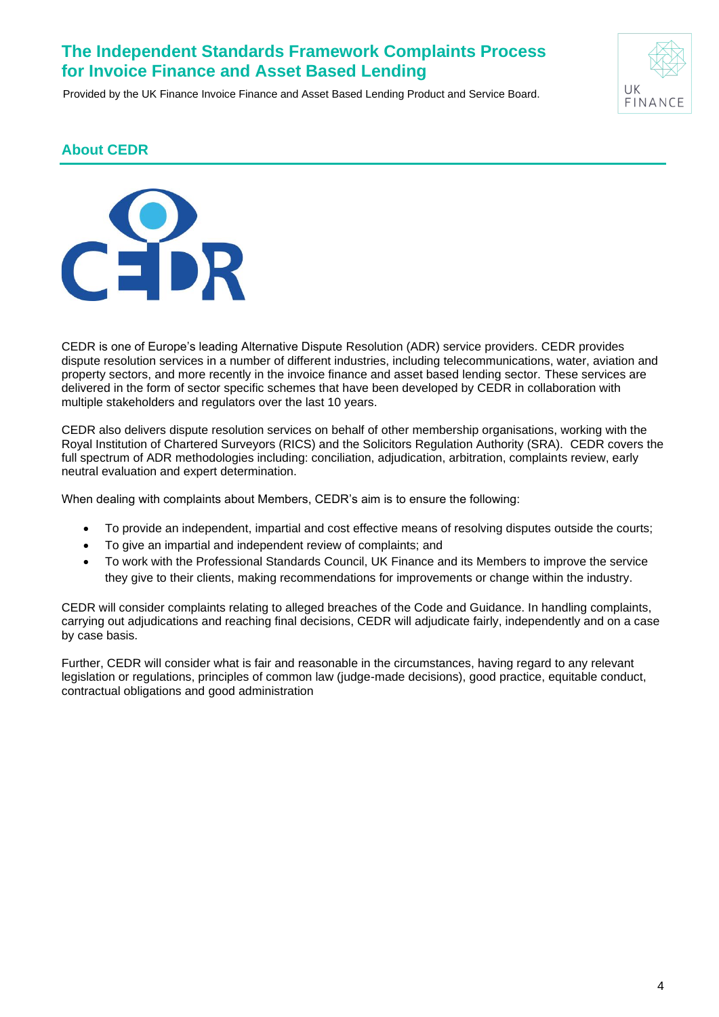Provided by the UK Finance Invoice Finance and Asset Based Lending Product and Service Board.



### <span id="page-3-0"></span>**About CEDR**

<span id="page-3-1"></span>

CEDR is one of Europe's leading Alternative Dispute Resolution (ADR) service providers. CEDR provides dispute resolution services in a number of different industries, including telecommunications, water, aviation and property sectors, and more recently in the invoice finance and asset based lending sector. These services are delivered in the form of sector specific schemes that have been developed by CEDR in collaboration with multiple stakeholders and regulators over the last 10 years.

CEDR also delivers dispute resolution services on behalf of other membership organisations, working with the Royal Institution of Chartered Surveyors (RICS) and the Solicitors Regulation Authority (SRA). CEDR covers the full spectrum of ADR methodologies including: conciliation, adjudication, arbitration, complaints review, early neutral evaluation and expert determination.

When dealing with complaints about Members, CEDR's aim is to ensure the following:

- To provide an independent, impartial and cost effective means of resolving disputes outside the courts;
- To give an impartial and independent review of complaints; and
- To work with the Professional Standards Council, UK Finance and its Members to improve the service they give to their clients, making recommendations for improvements or change within the industry.

CEDR will consider complaints relating to alleged breaches of the Code and Guidance. In handling complaints, carrying out adjudications and reaching final decisions, CEDR will adjudicate fairly, independently and on a case by case basis.

Further, CEDR will consider what is fair and reasonable in the circumstances, having regard to any relevant legislation or regulations, principles of common law (judge-made decisions), good practice, equitable conduct, contractual obligations and good administration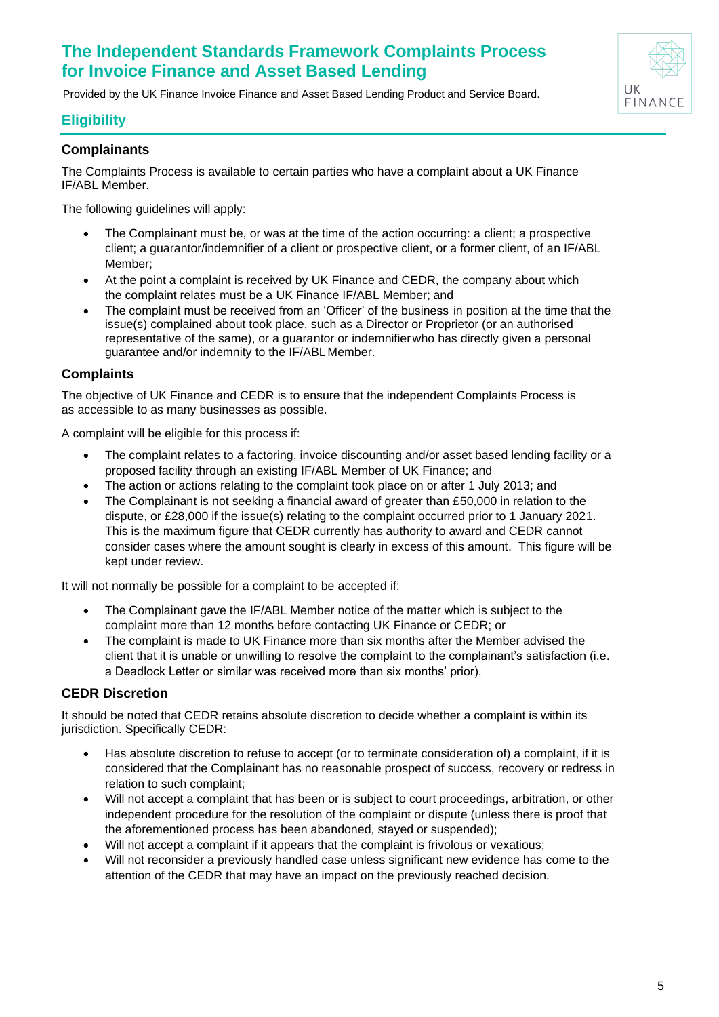Provided by the UK Finance Invoice Finance and Asset Based Lending Product and Service Board.

### **Eligibility**

#### <span id="page-4-0"></span>**Complainants**

The Complaints Process is available to certain parties who have a complaint about a UK Finance IF/ABL Member.

The following guidelines will apply:

- The Complainant must be, or was at the time of the action occurring: a client; a prospective client; a guarantor/indemnifier of a client or prospective client, or a former client, of an IF/ABL Member;
- At the point a complaint is received by UK Finance and CEDR, the company about which the complaint relates must be a UK Finance IF/ABL Member; and
- The complaint must be received from an 'Officer' of the business in position at the time that the issue(s) complained about took place, such as a Director or Proprietor (or an authorised representative of the same), or a guarantor or indemnifierwho has directly given a personal guarantee and/or indemnity to the IF/ABL Member.

#### <span id="page-4-1"></span>**Complaints**

The objective of UK Finance and CEDR is to ensure that the independent Complaints Process is as accessible to as many businesses as possible.

A complaint will be eligible for this process if:

- The complaint relates to a factoring, invoice discounting and/or asset based lending facility or a proposed facility through an existing IF/ABL Member of UK Finance; and
- The action or actions relating to the complaint took place on or after 1 July 2013; and
- The Complainant is not seeking a financial award of greater than £50,000 in relation to the dispute, or £28,000 if the issue(s) relating to the complaint occurred prior to 1 January 2021. This is the maximum figure that CEDR currently has authority to award and CEDR cannot consider cases where the amount sought is clearly in excess of this amount. This figure will be kept under review.

It will not normally be possible for a complaint to be accepted if:

- The Complainant gave the IF/ABL Member notice of the matter which is subject to the complaint more than 12 months before contacting UK Finance or CEDR; or
- The complaint is made to UK Finance more than six months after the Member advised the client that it is unable or unwilling to resolve the complaint to the complainant's satisfaction (i.e. a Deadlock Letter or similar was received more than six months' prior).

#### <span id="page-4-2"></span>**CEDR Discretion**

It should be noted that CEDR retains absolute discretion to decide whether a complaint is within its jurisdiction. Specifically CEDR:

- Has absolute discretion to refuse to accept (or to terminate consideration of) a complaint, if it is considered that the Complainant has no reasonable prospect of success, recovery or redress in relation to such complaint;
- Will not accept a complaint that has been or is subject to court proceedings, arbitration, or other independent procedure for the resolution of the complaint or dispute (unless there is proof that the aforementioned process has been abandoned, stayed or suspended);
- Will not accept a complaint if it appears that the complaint is frivolous or vexatious;
- Will not reconsider a previously handled case unless significant new evidence has come to the attention of the CEDR that may have an impact on the previously reached decision.

UK FINAN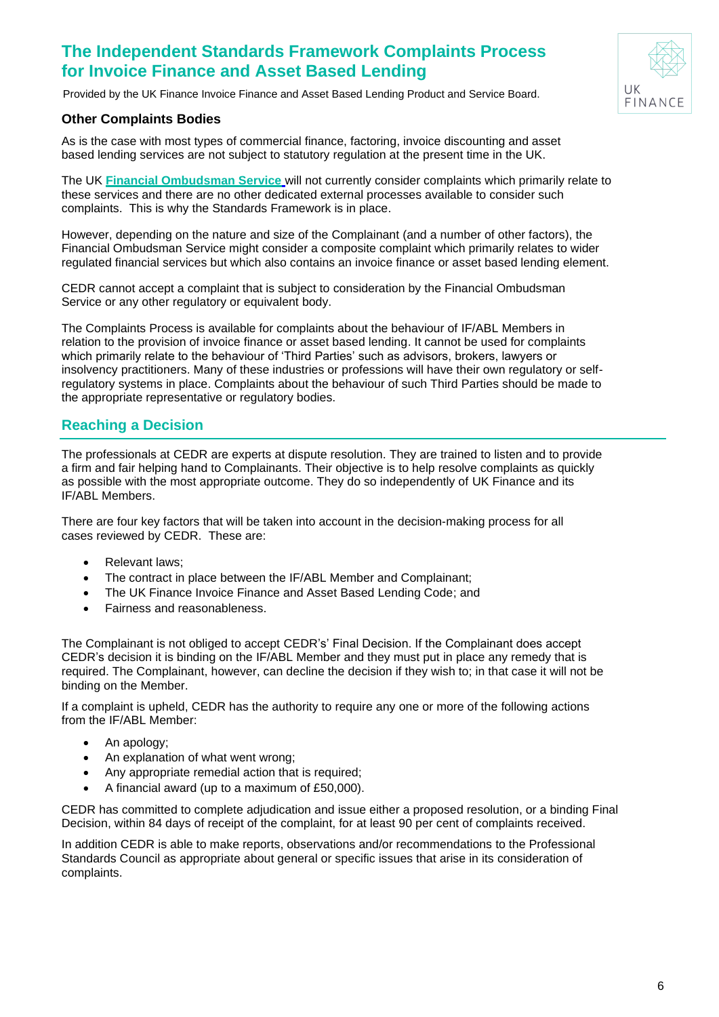

Provided by the UK Finance Invoice Finance and Asset Based Lending Product and Service Board.

#### <span id="page-5-0"></span>**Other Complaints Bodies**

As is the case with most types of commercial finance, factoring, invoice discounting and asset based lending services are not subject to statutory regulation at the present time in the UK.

The UK **[Financial Ombudsman Service](http://financial-ombudsman.org.uk/)** will not currently consider complaints which primarily relate to these services and there are no other dedicated external processes available to consider such complaints. This is why the Standards Framework is in place.

However, depending on the nature and size of the Complainant (and a number of other factors), the Financial Ombudsman Service might consider a composite complaint which primarily relates to wider regulated financial services but which also contains an invoice finance or asset based lending element.

CEDR cannot accept a complaint that is subject to consideration by the Financial Ombudsman Service or any other regulatory or equivalent body.

The Complaints Process is available for complaints about the behaviour of IF/ABL Members in relation to the provision of invoice finance or asset based lending. It cannot be used for complaints which primarily relate to the behaviour of 'Third Parties' such as advisors, brokers, lawyers or insolvency practitioners. Many of these industries or professions will have their own regulatory or selfregulatory systems in place. Complaints about the behaviour of such Third Parties should be made to the appropriate representative or regulatory bodies.

### <span id="page-5-1"></span>**Reaching a Decision**

The professionals at CEDR are experts at dispute resolution. They are trained to listen and to provide a firm and fair helping hand to Complainants. Their objective is to help resolve complaints as quickly as possible with the most appropriate outcome. They do so independently of UK Finance and its IF/ABL Members.

There are four key factors that will be taken into account in the decision-making process for all cases reviewed by CEDR. These are:

- Relevant laws;
- The contract in place between the IF/ABL Member and Complainant;
- The UK Finance Invoice Finance and Asset Based Lending Code; and
- Fairness and reasonableness.

The Complainant is not obliged to accept CEDR's' Final Decision. If the Complainant does accept CEDR's decision it is binding on the IF/ABL Member and they must put in place any remedy that is required. The Complainant, however, can decline the decision if they wish to; in that case it will not be binding on the Member.

If a complaint is upheld, CEDR has the authority to require any one or more of the following actions from the IF/ABL Member:

- An apology;
- An explanation of what went wrong;
- Any appropriate remedial action that is required;
- A financial award (up to a maximum of £50,000).

CEDR has committed to complete adjudication and issue either a proposed resolution, or a binding Final Decision, within 84 days of receipt of the complaint, for at least 90 per cent of complaints received.

In addition CEDR is able to make reports, observations and/or recommendations to the Professional Standards Council as appropriate about general or specific issues that arise in its consideration of complaints.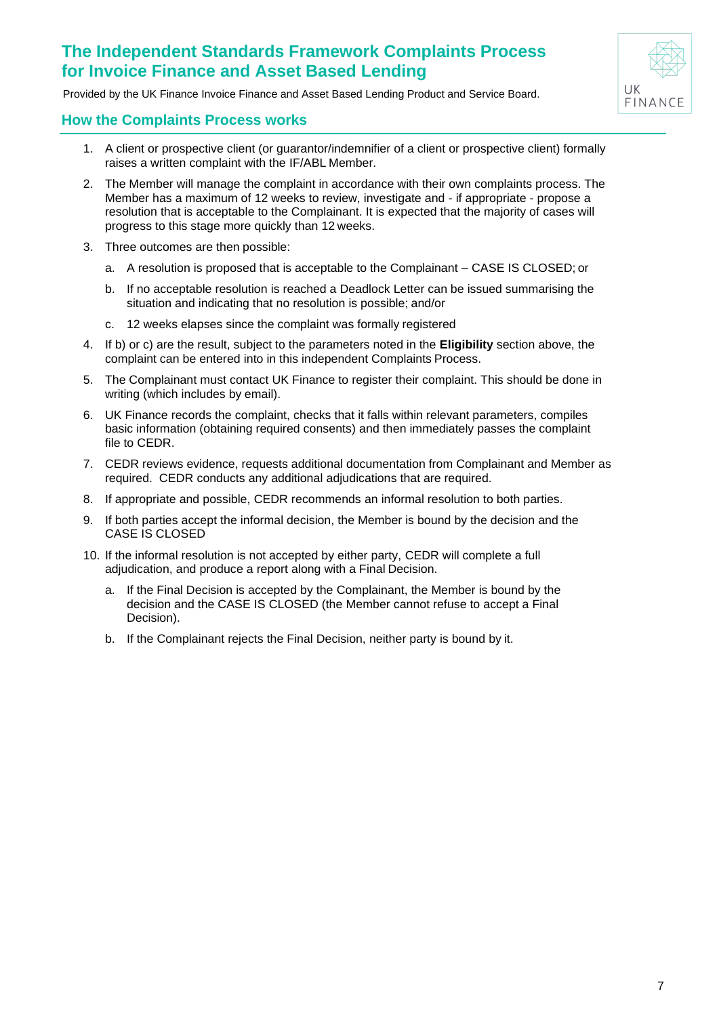Provided by the UK Finance Invoice Finance and Asset Based Lending Product and Service Board.

### <span id="page-6-0"></span>**How the Complaints Process works**

- 1. A client or prospective client (or guarantor/indemnifier of a client or prospective client) formally raises a written complaint with the IF/ABL Member.
- 2. The Member will manage the complaint in accordance with their own complaints process. The Member has a maximum of 12 weeks to review, investigate and - if appropriate - propose a resolution that is acceptable to the Complainant. It is expected that the majority of cases will progress to this stage more quickly than 12 weeks.
- 3. Three outcomes are then possible:
	- a. A resolution is proposed that is acceptable to the Complainant CASE IS CLOSED; or
	- b. If no acceptable resolution is reached a Deadlock Letter can be issued summarising the situation and indicating that no resolution is possible; and/or
	- c. 12 weeks elapses since the complaint was formally registered
- 4. If b) or c) are the result, subject to the parameters noted in the **Eligibility** section above, the complaint can be entered into in this independent Complaints Process.
- 5. The Complainant must contact UK Finance to register their complaint. This should be done in writing (which includes by email).
- 6. UK Finance records the complaint, checks that it falls within relevant parameters, compiles basic information (obtaining required consents) and then immediately passes the complaint file to CEDR.
- 7. CEDR reviews evidence, requests additional documentation from Complainant and Member as required. CEDR conducts any additional adjudications that are required.
- 8. If appropriate and possible, CEDR recommends an informal resolution to both parties.
- 9. If both parties accept the informal decision, the Member is bound by the decision and the CASE IS CLOSED
- <span id="page-6-2"></span><span id="page-6-1"></span>10. If the informal resolution is not accepted by either party, CEDR will complete a full adjudication, and produce a report along with a Final Decision.
	- a. If the Final Decision is accepted by the Complainant, the Member is bound by the decision and the CASE IS CLOSED (the Member cannot refuse to accept a Final Decision).
	- b. If the Complainant rejects the Final Decision, neither party is bound by it.

 $|I|K$  $FINA$